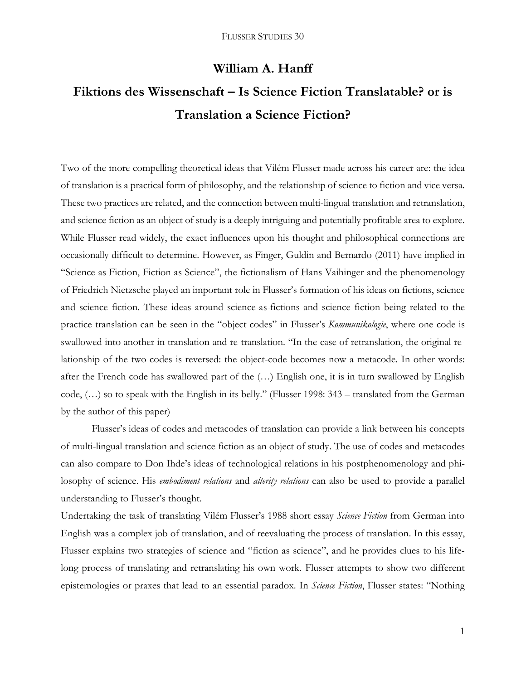# **William A. Hanff**

# **Fiktions des Wissenschaft – Is Science Fiction Translatable? or is Translation a Science Fiction?**

Two of the more compelling theoretical ideas that Vilém Flusser made across his career are: the idea of translation is a practical form of philosophy, and the relationship of science to fiction and vice versa. These two practices are related, and the connection between multi-lingual translation and retranslation, and science fiction as an object of study is a deeply intriguing and potentially profitable area to explore. While Flusser read widely, the exact influences upon his thought and philosophical connections are occasionally difficult to determine. However, as Finger, Guldin and Bernardo (2011) have implied in "Science as Fiction, Fiction as Science", the fictionalism of Hans Vaihinger and the phenomenology of Friedrich Nietzsche played an important role in Flusser's formation of his ideas on fictions, science and science fiction. These ideas around science-as-fictions and science fiction being related to the practice translation can be seen in the "object codes" in Flusser's *Kommunikologie*, where one code is swallowed into another in translation and re-translation. "In the case of retranslation, the original relationship of the two codes is reversed: the object-code becomes now a metacode. In other words: after the French code has swallowed part of the (…) English one, it is in turn swallowed by English code, (…) so to speak with the English in its belly." (Flusser 1998: 343 – translated from the German by the author of this paper)

Flusser's ideas of codes and metacodes of translation can provide a link between his concepts of multi-lingual translation and science fiction as an object of study. The use of codes and metacodes can also compare to Don Ihde's ideas of technological relations in his postphenomenology and philosophy of science. His *embodiment relations* and *alterity relations* can also be used to provide a parallel understanding to Flusser's thought.

Undertaking the task of translating Vilém Flusser's 1988 short essay *Science Fiction* from German into English was a complex job of translation, and of reevaluating the process of translation. In this essay, Flusser explains two strategies of science and "fiction as science", and he provides clues to his lifelong process of translating and retranslating his own work. Flusser attempts to show two different epistemologies or praxes that lead to an essential paradox. In *Science Fiction*, Flusser states: "Nothing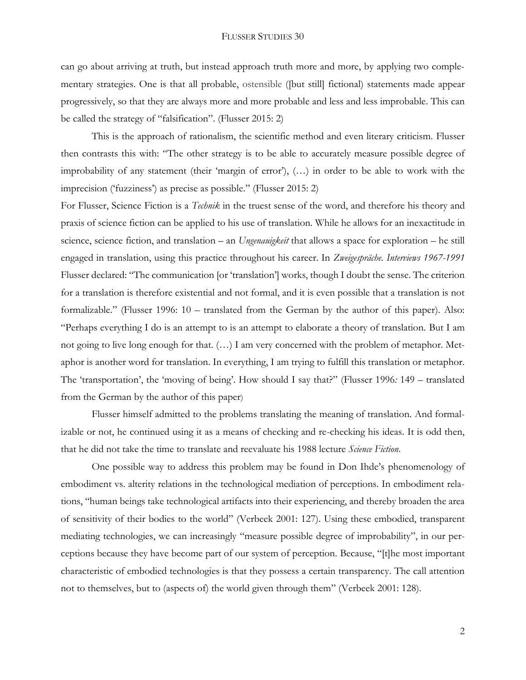can go about arriving at truth, but instead approach truth more and more, by applying two complementary strategies. One is that all probable, [ostensible](http://en.pons.com/translate/english-german/ostensible) ([but still] fictional) statements made appear progressively, so that they are always more and more probable and less and less improbable. This can be called the strategy of "falsification". (Flusser 2015: 2)

This is the approach of rationalism, the scientific method and even literary criticism. Flusser then contrasts this with: "The other strategy is to be able to accurately measure possible degree of improbability of any statement (their 'margin of error'), (…) in order to be able to work with the imprecision ('fuzziness') as precise as possible." (Flusser 2015: 2)

For Flusser, Science Fiction is a *Technik* in the truest sense of the word, and therefore his theory and praxis of science fiction can be applied to his use of translation. While he allows for an inexactitude in science, science fiction, and translation – an *Ungenauigkeit* that allows a space for exploration – he still engaged in translation, using this practice throughout his career. In *Zweigespräche. Interviews 1967-1991* Flusser declared: "The communication [or 'translation'] works, though I doubt the sense. The criterion for a translation is therefore existential and not formal, and it is even possible that a translation is not formalizable." (Flusser 1996: 10 – translated from the German by the author of this paper). Also: "Perhaps everything I do is an attempt to is an attempt to elaborate a theory of translation. But I am not going to live long enough for that. (…) I am very concerned with the problem of metaphor. Metaphor is another word for translation. In everything, I am trying to fulfill this translation or metaphor. The 'transportation', the 'moving of being'. How should I say that?" (Flusser 1996*:* 149 – translated from the German by the author of this paper)

Flusser himself admitted to the problems translating the meaning of translation. And formalizable or not, he continued using it as a means of checking and re-checking his ideas. It is odd then, that he did not take the time to translate and reevaluate his 1988 lecture *Science Fiction*.

One possible way to address this problem may be found in Don Ihde's phenomenology of embodiment vs. alterity relations in the technological mediation of perceptions. In embodiment relations, "human beings take technological artifacts into their experiencing, and thereby broaden the area of sensitivity of their bodies to the world" (Verbeek 2001: 127). Using these embodied, transparent mediating technologies, we can increasingly "measure possible degree of improbability", in our perceptions because they have become part of our system of perception. Because, "[t]he most important characteristic of embodied technologies is that they possess a certain transparency. The call attention not to themselves, but to (aspects of) the world given through them" (Verbeek 2001: 128).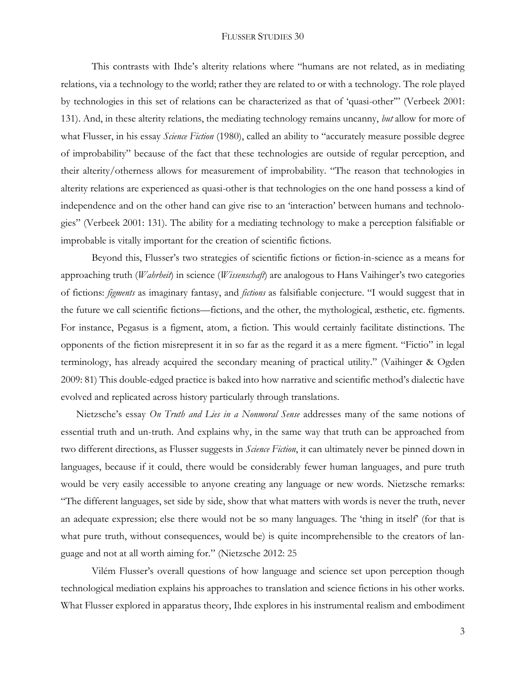#### FLUSSER STUDIES 30

This contrasts with Ihde's alterity relations where "humans are not related, as in mediating relations, via a technology to the world; rather they are related to or with a technology. The role played by technologies in this set of relations can be characterized as that of 'quasi-other'" (Verbeek 2001: 131). And, in these alterity relations, the mediating technology remains uncanny, *but* allow for more of what Flusser, in his essay *Science Fiction* (1980), called an ability to "accurately measure possible degree of improbability" because of the fact that these technologies are outside of regular perception, and their alterity/otherness allows for measurement of improbability. "The reason that technologies in alterity relations are experienced as quasi-other is that technologies on the one hand possess a kind of independence and on the other hand can give rise to an 'interaction' between humans and technologies" (Verbeek 2001: 131). The ability for a mediating technology to make a perception falsifiable or improbable is vitally important for the creation of scientific fictions.

Beyond this, Flusser's two strategies of scientific fictions or fiction-in-science as a means for approaching truth (*Wahrheit*) in science (*Wissenschaft*) are analogous to Hans Vaihinger's two categories of fictions: *figments* as imaginary fantasy, and *fictions* as falsifiable conjecture. "I would suggest that in the future we call scientific fictions—fictions, and the other, the mythological, æsthetic, etc. figments. For instance, Pegasus is a figment, atom, a fiction. This would certainly facilitate distinctions. The opponents of the fiction misrepresent it in so far as the regard it as a mere figment. "Fictio" in legal terminology, has already acquired the secondary meaning of practical utility." (Vaihinger & Ogden 2009: 81) This double-edged practice is baked into how narrative and scientific method's dialectic have evolved and replicated across history particularly through translations.

Nietzsche's essay *On Truth and Lies in a Nonmoral Sense* addresses many of the same notions of essential truth and un-truth. And explains why, in the same way that truth can be approached from two different directions, as Flusser suggests in *Science Fiction*, it can ultimately never be pinned down in languages, because if it could, there would be considerably fewer human languages, and pure truth would be very easily accessible to anyone creating any language or new words. Nietzsche remarks: "The different languages, set side by side, show that what matters with words is never the truth, never an adequate expression; else there would not be so many languages. The 'thing in itself' (for that is what pure truth, without consequences, would be) is quite incomprehensible to the creators of language and not at all worth aiming for." (Nietzsche 2012: 25

Vilém Flusser's overall questions of how language and science set upon perception though technological mediation explains his approaches to translation and science fictions in his other works. What Flusser explored in apparatus theory, Ihde explores in his instrumental realism and embodiment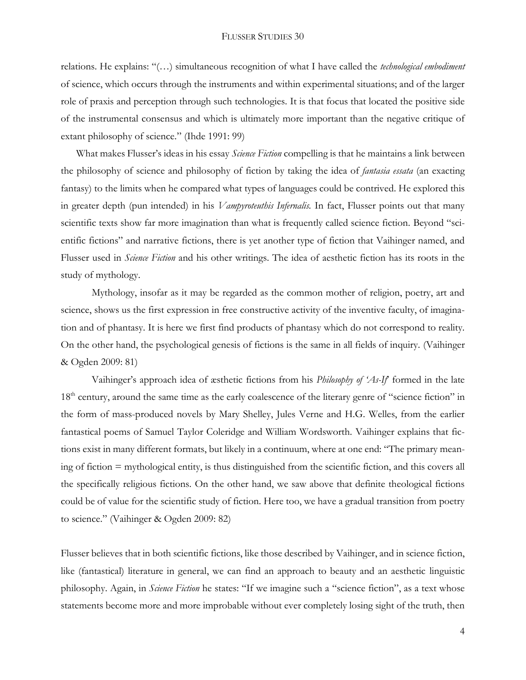#### FLUSSER STUDIES 30

relations. He explains: "(…) simultaneous recognition of what I have called the *technological embodiment* of science, which occurs through the instruments and within experimental situations; and of the larger role of praxis and perception through such technologies. It is that focus that located the positive side of the instrumental consensus and which is ultimately more important than the negative critique of extant philosophy of science." (Ihde 1991: 99)

What makes Flusser's ideas in his essay *Science Fiction* compelling is that he maintains a link between the philosophy of science and philosophy of fiction by taking the idea of *fantasia essata* (an exacting fantasy) to the limits when he compared what types of languages could be contrived. He explored this in greater depth (pun intended) in his *Vampyroteuthis Infernalis.* In fact, Flusser points out that many scientific texts show far more imagination than what is frequently called science fiction. Beyond "scientific fictions" and narrative fictions, there is yet another type of fiction that Vaihinger named, and Flusser used in *Science Fiction* and his other writings. The idea of aesthetic fiction has its roots in the study of mythology.

Mythology, insofar as it may be regarded as the common mother of religion, poetry, art and science, shows us the first expression in free constructive activity of the inventive faculty, of imagination and of phantasy. It is here we first find products of phantasy which do not correspond to reality. On the other hand, the psychological genesis of fictions is the same in all fields of inquiry. (Vaihinger & Ogden 2009: 81)

Vaihinger's approach idea of æsthetic fictions from his *Philosophy of 'As-If*' formed in the late 18<sup>th</sup> century, around the same time as the early coalescence of the literary genre of "science fiction" in the form of mass-produced novels by Mary Shelley, Jules Verne and H.G. Welles, from the earlier fantastical poems of Samuel Taylor Coleridge and William Wordsworth. Vaihinger explains that fictions exist in many different formats, but likely in a continuum, where at one end: "The primary meaning of fiction = mythological entity, is thus distinguished from the scientific fiction, and this covers all the specifically religious fictions. On the other hand, we saw above that definite theological fictions could be of value for the scientific study of fiction. Here too, we have a gradual transition from poetry to science." (Vaihinger & Ogden 2009: 82)

Flusser believes that in both scientific fictions, like those described by Vaihinger, and in science fiction, like (fantastical) literature in general, we can find an approach to beauty and an aesthetic linguistic philosophy. Again, in *Science Fiction* he states: "If we imagine such a "science fiction", as a text whose statements become more and more improbable without ever completely losing sight of the truth, then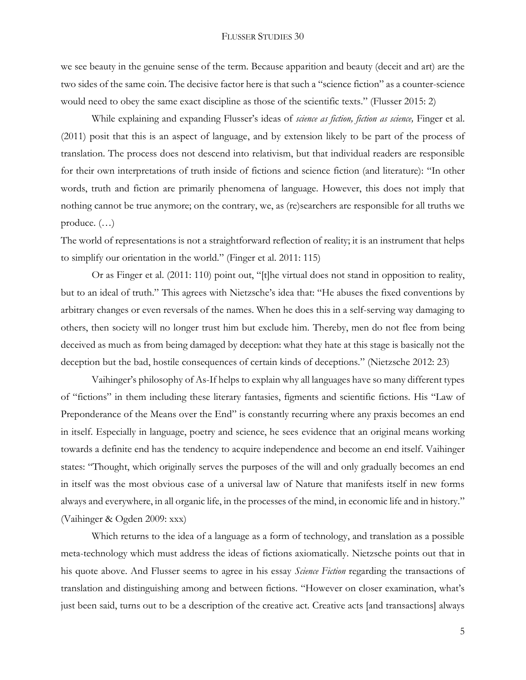we see beauty in the genuine sense of the term. Because apparition and beauty (deceit and art) are the two sides of the same coin. The decisive factor here is that such a "science fiction" as a counter-science would need to obey the same exact discipline as those of the scientific texts." (Flusser 2015: 2)

While explaining and expanding Flusser's ideas of *science as fiction, fiction as science,* Finger et al. (2011) posit that this is an aspect of language, and by extension likely to be part of the process of translation. The process does not descend into relativism, but that individual readers are responsible for their own interpretations of truth inside of fictions and science fiction (and literature): "In other words, truth and fiction are primarily phenomena of language. However, this does not imply that nothing cannot be true anymore; on the contrary, we, as (re)searchers are responsible for all truths we produce. (…)

The world of representations is not a straightforward reflection of reality; it is an instrument that helps to simplify our orientation in the world." (Finger et al. 2011: 115)

Or as Finger et al. (2011: 110) point out, "[t]he virtual does not stand in opposition to reality, but to an ideal of truth." This agrees with Nietzsche's idea that: "He abuses the fixed conventions by arbitrary changes or even reversals of the names. When he does this in a self-serving way damaging to others, then society will no longer trust him but exclude him. Thereby, men do not flee from being deceived as much as from being damaged by deception: what they hate at this stage is basically not the deception but the bad, hostile consequences of certain kinds of deceptions." (Nietzsche 2012: 23)

Vaihinger's philosophy of As-If helps to explain why all languages have so many different types of "fictions" in them including these literary fantasies, figments and scientific fictions. His "Law of Preponderance of the Means over the End" is constantly recurring where any praxis becomes an end in itself. Especially in language, poetry and science, he sees evidence that an original means working towards a definite end has the tendency to acquire independence and become an end itself. Vaihinger states: "Thought, which originally serves the purposes of the will and only gradually becomes an end in itself was the most obvious case of a universal law of Nature that manifests itself in new forms always and everywhere, in all organic life, in the processes of the mind, in economic life and in history." (Vaihinger & Ogden 2009: xxx)

Which returns to the idea of a language as a form of technology, and translation as a possible meta-technology which must address the ideas of fictions axiomatically. Nietzsche points out that in his quote above. And Flusser seems to agree in his essay *Science Fiction* regarding the transactions of translation and distinguishing among and between fictions. "However on closer examination, what's just been said, turns out to be a description of the creative act. Creative acts [and transactions] always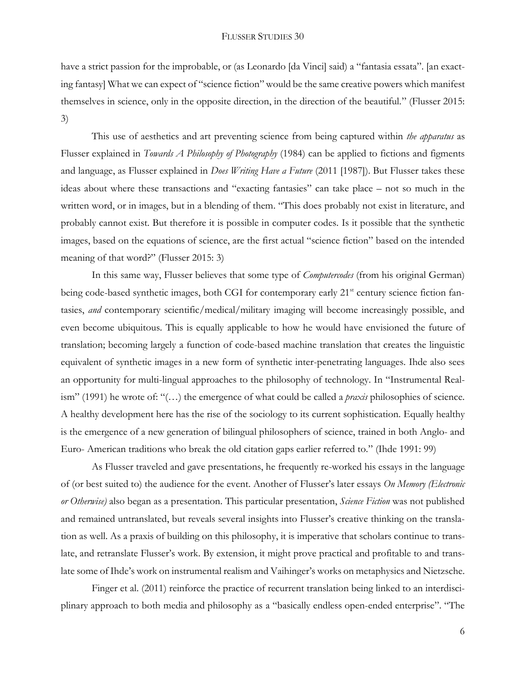have a strict passion for the improbable, or (as Leonardo [da Vinci] said) a "fantasia essata". [an exacting fantasy] What we can expect of "science fiction" would be the same creative powers which manifest themselves in science, only in the opposite direction, in the direction of the beautiful." (Flusser 2015: 3)

This use of aesthetics and art preventing science from being captured within *the apparatus* as Flusser explained in *Towards A Philosophy of Photography* (1984) can be applied to fictions and figments and language, as Flusser explained in *Does Writing Have a Future* (2011 [1987]). But Flusser takes these ideas about where these transactions and "exacting fantasies" can take place – not so much in the written word, or in images, but in a blending of them. "This does probably not exist in literature, and probably cannot exist. But therefore it is possible in computer codes. Is it possible that the synthetic images, based on the equations of science, are the first actual "science fiction" based on the intended meaning of that word?" (Flusser 2015: 3)

In this same way, Flusser believes that some type of *Computercodes* (from his original German) being code-based synthetic images, both CGI for contemporary early 21<sup>st</sup> century science fiction fantasies, *and* contemporary scientific/medical/military imaging will become increasingly possible, and even become ubiquitous. This is equally applicable to how he would have envisioned the future of translation; becoming largely a function of code-based machine translation that creates the linguistic equivalent of synthetic images in a new form of synthetic inter-penetrating languages. Ihde also sees an opportunity for multi-lingual approaches to the philosophy of technology. In "Instrumental Realism" (1991) he wrote of: "(…) the emergence of what could be called a *praxis* philosophies of science. A healthy development here has the rise of the sociology to its current sophistication. Equally healthy is the emergence of a new generation of bilingual philosophers of science, trained in both Anglo- and Euro- American traditions who break the old citation gaps earlier referred to." (Ihde 1991: 99)

As Flusser traveled and gave presentations, he frequently re-worked his essays in the language of (or best suited to) the audience for the event. Another of Flusser's later essays *On Memory (Electronic or Otherwise)* also began as a presentation. This particular presentation, *Science Fiction* was not published and remained untranslated, but reveals several insights into Flusser's creative thinking on the translation as well. As a praxis of building on this philosophy, it is imperative that scholars continue to translate, and retranslate Flusser's work. By extension, it might prove practical and profitable to and translate some of Ihde's work on instrumental realism and Vaihinger's works on metaphysics and Nietzsche.

Finger et al. (2011) reinforce the practice of recurrent translation being linked to an interdisciplinary approach to both media and philosophy as a "basically endless open-ended enterprise". "The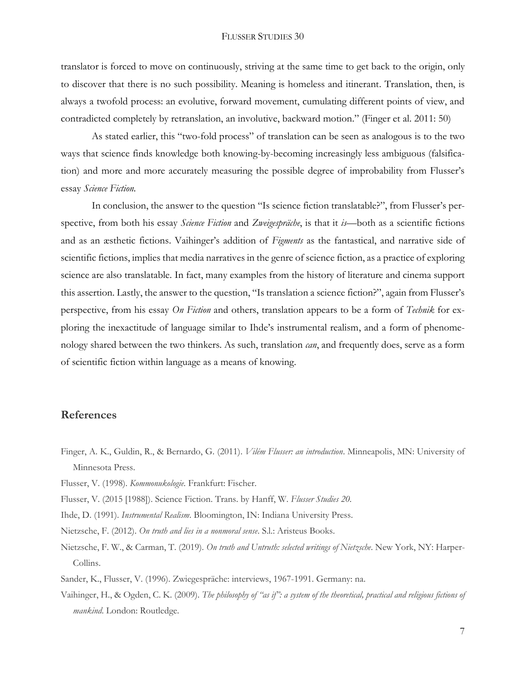translator is forced to move on continuously, striving at the same time to get back to the origin, only to discover that there is no such possibility. Meaning is homeless and itinerant. Translation, then, is always a twofold process: an evolutive, forward movement, cumulating different points of view, and contradicted completely by retranslation, an involutive, backward motion." (Finger et al. 2011: 50)

As stated earlier, this "two-fold process" of translation can be seen as analogous is to the two ways that science finds knowledge both knowing-by-becoming increasingly less ambiguous (falsification) and more and more accurately measuring the possible degree of improbability from Flusser's essay *Science Fiction.*

In conclusion, the answer to the question "Is science fiction translatable?", from Flusser's perspective, from both his essay *Science Fiction* and *Zweigespräche*, is that it *is*—both as a scientific fictions and as an æsthetic fictions. Vaihinger's addition of *Figments* as the fantastical, and narrative side of scientific fictions, implies that media narratives in the genre of science fiction, as a practice of exploring science are also translatable. In fact, many examples from the history of literature and cinema support this assertion. Lastly, the answer to the question, "Is translation a science fiction?", again from Flusser's perspective, from his essay *On Fiction* and others, translation appears to be a form of *Technik* for exploring the inexactitude of language similar to Ihde's instrumental realism, and a form of phenomenology shared between the two thinkers. As such, translation *can*, and frequently does, serve as a form of scientific fiction within language as a means of knowing.

### **References**

- Finger, A. K., Guldin, R., & Bernardo, G. (2011). *Vilém Flusser: an introduction*. Minneapolis, MN: University of Minnesota Press.
- Flusser, V. (1998). *Kommonukologie.* Frankfurt: Fischer.
- Flusser, V. (2015 [1988]). Science Fiction. Trans. by Hanff, W. *Flusser Studies 20.*
- Ihde, D. (1991). *Instrumental Realism*. Bloomington, IN: Indiana University Press.
- Nietzsche, F. (2012). *On truth and lies in a nonmoral sense*. S.l.: Aristeus Books.
- Nietzsche, F. W., & Carman, T. (2019). *On truth and Untruth: selected writings of Nietzsche*. New York, NY: Harper-Collins.
- Sander, K., Flusser, V. (1996). Zwiegespräche: interviews, 1967-1991. Germany: na.
- Vaihinger, H., & Ogden, C. K. (2009). *The philosophy of "as if": a system of the theoretical, practical and religious fictions of mankind*. London: Routledge.